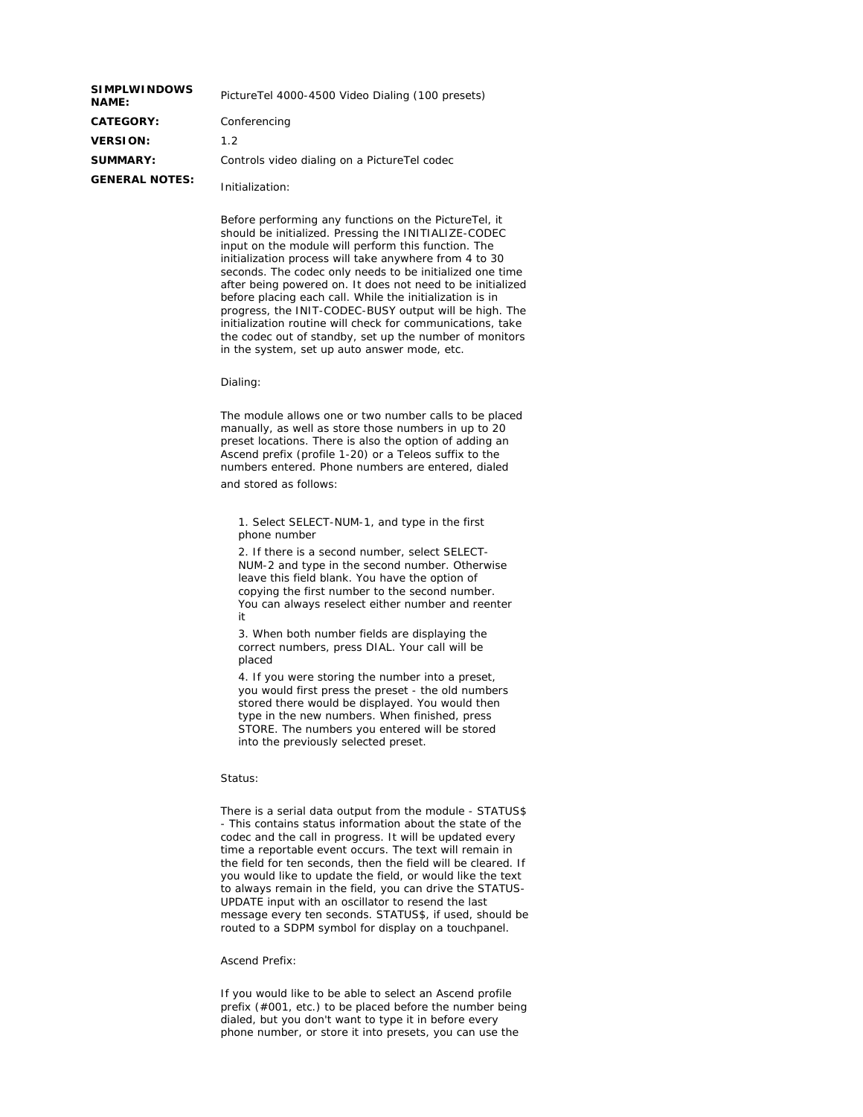| <b>SIMPLWINDOWS</b><br><b>NAME:</b> | Picture Tel 4000-4500 Video Dialing (100 presets) |
|-------------------------------------|---------------------------------------------------|
| <b>CATEGORY:</b>                    | Conferencing                                      |
| <b>VERSION:</b>                     | 1.2                                               |
| <b>SUMMARY:</b>                     | Controls video dialing on a PictureTel codec      |
| <b>GENERAL NOTES:</b>               | Initialization:                                   |

Before performing any functions on the PictureTel, it should be initialized. Pressing the INITIALIZE-CODEC input on the module will perform this function. The initialization process will take anywhere from 4 to 30 seconds. The codec only needs to be initialized one time after being powered on. It does not need to be initialized before placing each call. While the initialization is in progress, the INIT-CODEC-BUSY output will be high. The initialization routine will check for communications, take the codec out of standby, set up the number of monitors in the system, set up auto answer mode, etc.

Dialing:

The module allows one or two number calls to be placed manually, as well as store those numbers in up to 20 preset locations. There is also the option of adding an Ascend prefix (profile 1-20) or a Teleos suffix to the numbers entered. Phone numbers are entered, dialed

and stored as follows:

1. Select SELECT-NUM-1, and type in the first phone number

2. If there is a second number, select SELECT-NUM-2 and type in the second number. Otherwise leave this field blank. You have the option of copying the first number to the second number. You can always reselect either number and reenter it

3. When both number fields are displaying the correct numbers, press DIAL. Your call will be placed

4. If you were storing the number into a preset, you would first press the preset - the old numbers stored there would be displayed. You would then type in the new numbers. When finished, press STORE. The numbers you entered will be stored into the previously selected preset.

## Status:

There is a serial data output from the module - STATUS\$ - This contains status information about the state of the codec and the call in progress. It will be updated every time a reportable event occurs. The text will remain in the field for ten seconds, then the field will be cleared. If you would like to update the field, or would like the text to always remain in the field, you can drive the STATUS-UPDATE input with an oscillator to resend the last message every ten seconds. STATUS\$, if used, should be routed to a SDPM symbol for display on a touchpanel.

## Ascend Prefix:

If you would like to be able to select an Ascend profile prefix (#001, etc.) to be placed before the number being dialed, but you don't want to type it in before every phone number, or store it into presets, you can use the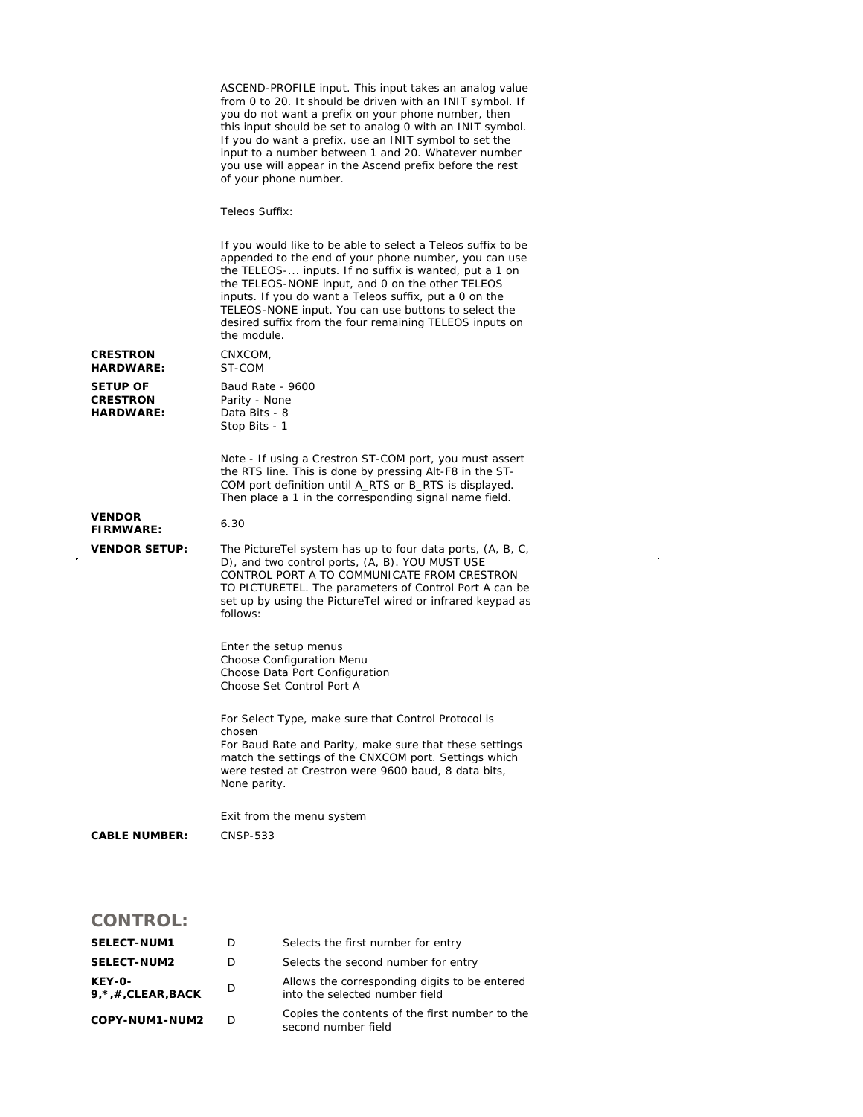ASCEND-PROFILE input. This input takes an analog value from 0 to 20. It should be driven with an INIT symbol. If you do not want a prefix on your phone number, then this input should be set to analog 0 with an INIT symbol. If you do want a prefix, use an INIT symbol to set the input to a number between 1 and 20. Whatever number you use will appear in the Ascend prefix before the rest of your phone number.

Teleos Suffix:

If you would like to be able to select a Teleos suffix to be appended to the end of your phone number, you can use the TELEOS-... inputs. If no suffix is wanted, put a 1 on the TELEOS-NONE input, and 0 on the other TELEOS inputs. If you do want a Teleos suffix, put a 0 on the TELEOS-NONE input. You can use buttons to select the desired suffix from the four remaining TELEOS inputs on the module. **CRESTRON HARDWARE:**  CNXCOM, ST-COM **SETUP OF CRESTRON HARDWARE:**  Baud Rate - 9600 Parity - None Data Bits - 8 Stop Bits - 1 Note - If using a Crestron ST-COM port, you must assert the RTS line. This is done by pressing Alt-F8 in the ST-COM port definition until A\_RTS or B\_RTS is displayed. Then place a 1 in the corresponding signal name field. **VENDOR FIRMWARE:** 6.30 **VENDOR SETUP:** The PictureTel system has up to four data ports, (A, B, C, D), and two control ports, (A, B). YOU MUST USE CONTROL PORT A TO COMMUNICATE FROM CRESTRON TO PICTURETEL. The parameters of Control Port A can be set up by using the PictureTel wired or infrared keypad as follows: Enter the setup menus Choose Configuration Menu Choose Data Port Configuration Choose Set Control Port A For Select Type, make sure that Control Protocol is chosen For Baud Rate and Parity, make sure that these settings match the settings of the CNXCOM port. Settings which were tested at Crestron were 9600 baud, 8 data bits, None parity. Exit from the menu system **CABLE NUMBER:** CNSP-533

## **CONTROL:**

| <b>SELECT-NUM1</b>                | Ð  | Selects the first number for entry                                              |
|-----------------------------------|----|---------------------------------------------------------------------------------|
| <b>SELECT-NUM2</b>                | D  | Selects the second number for entry                                             |
| KEY-0-<br>$9, *$ , #, CLEAR, BACK | D  | Allows the corresponding digits to be entered<br>into the selected number field |
| COPY-NUM1-NUM2                    | D. | Copies the contents of the first number to the<br>second number field           |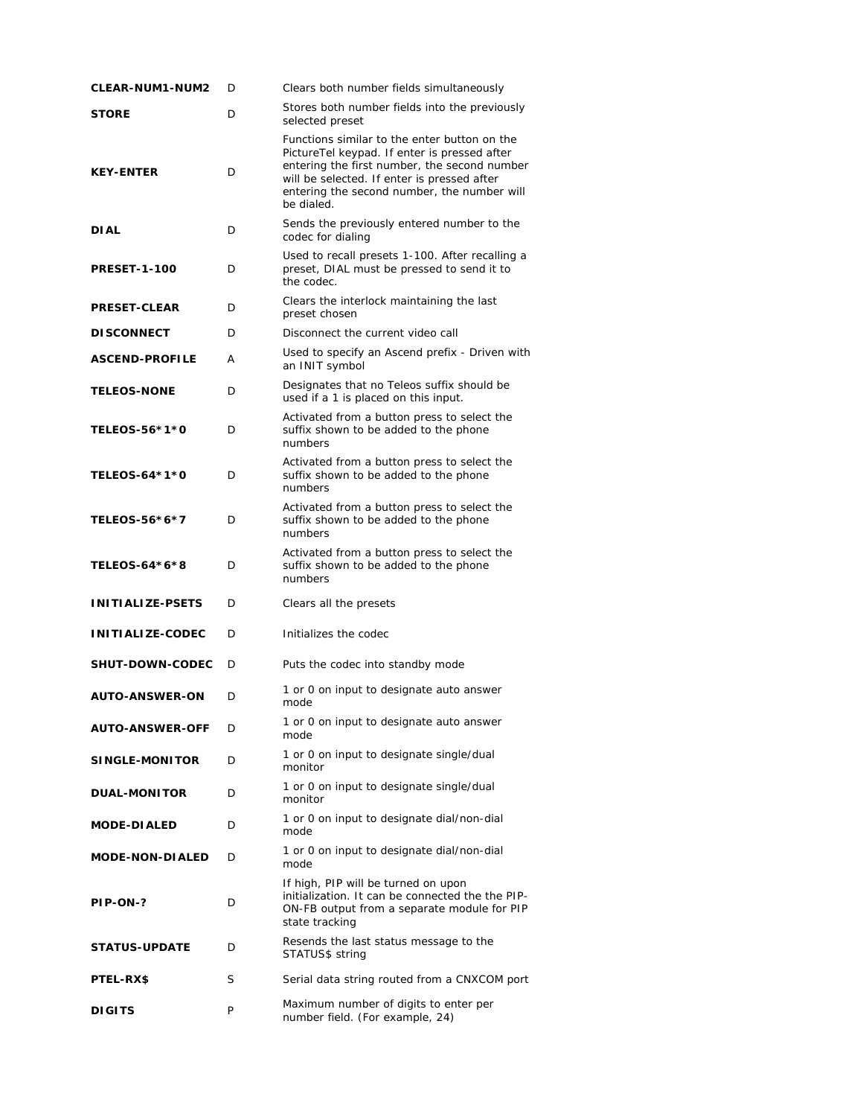| <b>CLEAR-NUM1-NUM2</b>  | D | Clears both number fields simultaneously                                                                                                                                                                                                                 |
|-------------------------|---|----------------------------------------------------------------------------------------------------------------------------------------------------------------------------------------------------------------------------------------------------------|
| <b>STORE</b>            | D | Stores both number fields into the previously<br>selected preset                                                                                                                                                                                         |
| <b>KEY-ENTER</b>        | D | Functions similar to the enter button on the<br>PictureTel keypad. If enter is pressed after<br>entering the first number, the second number<br>will be selected. If enter is pressed after<br>entering the second number, the number will<br>be dialed. |
| <b>DIAL</b>             | D | Sends the previously entered number to the<br>codec for dialing                                                                                                                                                                                          |
| <b>PRESET-1-100</b>     | D | Used to recall presets 1-100. After recalling a<br>preset, DIAL must be pressed to send it to<br>the codec.                                                                                                                                              |
| <b>PRESET-CLEAR</b>     | D | Clears the interlock maintaining the last<br>preset chosen                                                                                                                                                                                               |
| <b>DISCONNECT</b>       | D | Disconnect the current video call                                                                                                                                                                                                                        |
| <b>ASCEND-PROFILE</b>   | А | Used to specify an Ascend prefix - Driven with<br>an INIT symbol                                                                                                                                                                                         |
| <b>TELEOS-NONE</b>      | D | Designates that no Teleos suffix should be<br>used if a 1 is placed on this input.                                                                                                                                                                       |
| TELEOS-56*1*0           | D | Activated from a button press to select the<br>suffix shown to be added to the phone<br>numbers                                                                                                                                                          |
| TELEOS-64*1*0           | D | Activated from a button press to select the<br>suffix shown to be added to the phone<br>numbers                                                                                                                                                          |
| TELEOS-56*6*7           | D | Activated from a button press to select the<br>suffix shown to be added to the phone<br>numbers                                                                                                                                                          |
| TELEOS-64*6*8           | D | Activated from a button press to select the<br>suffix shown to be added to the phone<br>numbers                                                                                                                                                          |
| <b>INITIALIZE-PSETS</b> | D | Clears all the presets                                                                                                                                                                                                                                   |
| <b>INITIALIZE-CODEC</b> | D | Initializes the codec                                                                                                                                                                                                                                    |
| <b>SHUT-DOWN-CODEC</b>  | D | Puts the codec into standby mode                                                                                                                                                                                                                         |
| <b>AUTO-ANSWER-ON</b>   | D | 1 or 0 on input to designate auto answer<br>mode                                                                                                                                                                                                         |
| <b>AUTO-ANSWER-OFF</b>  | D | 1 or 0 on input to designate auto answer<br>mode                                                                                                                                                                                                         |
| <b>SINGLE-MONITOR</b>   | D | 1 or 0 on input to designate single/dual<br>monitor                                                                                                                                                                                                      |
| <b>DUAL-MONITOR</b>     | D | 1 or 0 on input to designate single/dual<br>monitor                                                                                                                                                                                                      |
| <b>MODE-DIALED</b>      | D | 1 or 0 on input to designate dial/non-dial<br>mode                                                                                                                                                                                                       |
| <b>MODE-NON-DIALED</b>  | D | 1 or 0 on input to designate dial/non-dial<br>mode                                                                                                                                                                                                       |
| PIP-ON-?                | D | If high, PIP will be turned on upon<br>initialization. It can be connected the the PIP-<br>ON-FB output from a separate module for PIP<br>state tracking                                                                                                 |
| <b>STATUS-UPDATE</b>    | D | Resends the last status message to the<br>STATUS\$ string                                                                                                                                                                                                |
| <b>PTEL-RX\$</b>        | S | Serial data string routed from a CNXCOM port                                                                                                                                                                                                             |
| <b>DIGITS</b>           | P | Maximum number of digits to enter per<br>number field. (For example, 24)                                                                                                                                                                                 |